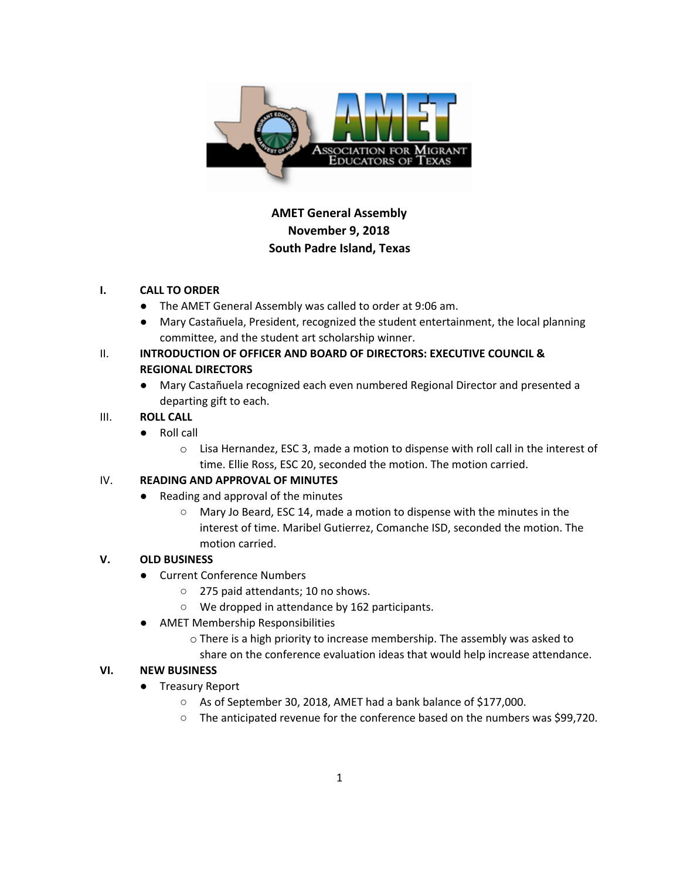

# **AMET General Assembly November 9, 2018 South Padre Island, Texas**

#### **I. CALL TO ORDER**

- The AMET General Assembly was called to order at 9:06 am.
- Mary Castañuela, President, recognized the student entertainment, the local planning committee, and the student art scholarship winner.

## II. **INTRODUCTION OF OFFICER AND BOARD OF DIRECTORS: EXECUTIVE COUNCIL & REGIONAL DIRECTORS**

● Mary Castañuela recognized each even numbered Regional Director and presented a departing gift to each.

### III. **ROLL CALL**

- Roll call
	- o Lisa Hernandez, ESC 3, made a motion to dispense with roll call in the interest of time. Ellie Ross, ESC 20, seconded the motion. The motion carried.

### IV. **READING AND APPROVAL OF MINUTES**

- Reading and approval of the minutes
	- Mary Jo Beard, ESC 14, made a motion to dispense with the minutes in the interest of time. Maribel Gutierrez, Comanche ISD, seconded the motion. The motion carried.

### **V. OLD BUSINESS**

- Current Conference Numbers
	- 275 paid attendants; 10 no shows.
	- We dropped in attendance by 162 participants.
- **AMET Membership Responsibilities** 
	- o There is a high priority to increase membership. The assembly was asked to
	- share on the conference evaluation ideas that would help increase attendance.

### **VI. NEW BUSINESS**

- Treasury Report
	- As of September 30, 2018, AMET had a bank balance of \$177,000.
	- The anticipated revenue for the conference based on the numbers was \$99,720.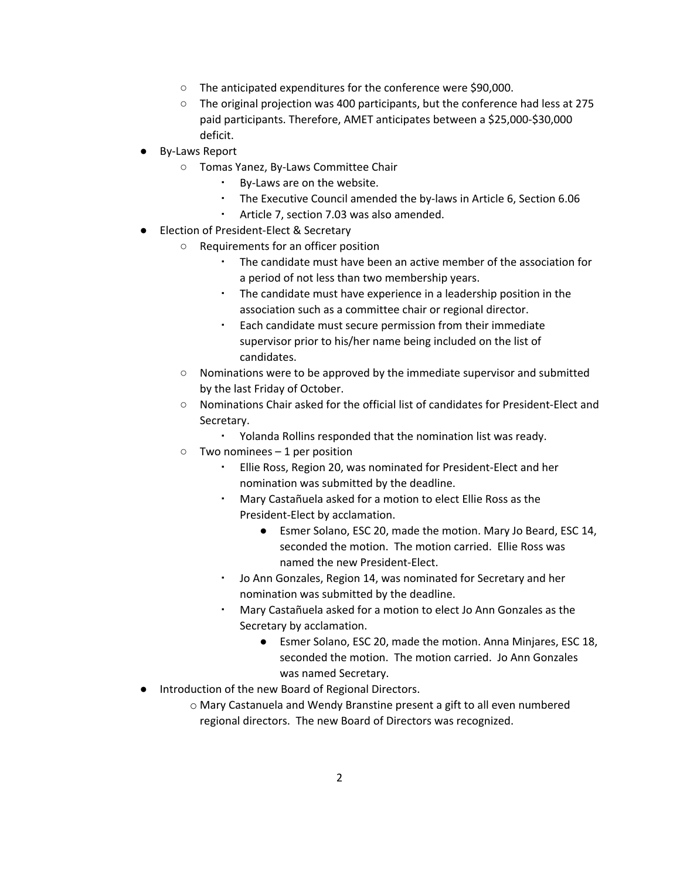- The anticipated expenditures for the conference were \$90,000.
- The original projection was 400 participants, but the conference had less at 275 paid participants. Therefore, AMET anticipates between a \$25,000-\$30,000 deficit.
- By-Laws Report
	- Tomas Yanez, By-Laws Committee Chair
		- By-Laws are on the website.
		- The Executive Council amended the by-laws in Article 6, Section 6.06
		- Article 7, section 7.03 was also amended.
- Election of President-Elect & Secretary
	- Requirements for an officer position
		- The candidate must have been an active member of the association for a period of not less than two membership years.
		- The candidate must have experience in a leadership position in the association such as a committee chair or regional director.
		- Each candidate must secure permission from their immediate supervisor prior to his/her name being included on the list of candidates.
	- Nominations were to be approved by the immediate supervisor and submitted by the last Friday of October.
	- Nominations Chair asked for the official list of candidates for President-Elect and Secretary.
		- Yolanda Rollins responded that the nomination list was ready.
	- $\circ$  Two nominees 1 per position
		- Ellie Ross, Region 20, was nominated for President-Elect and her nomination was submitted by the deadline.
		- Mary Castañuela asked for a motion to elect Ellie Ross as the President-Elect by acclamation.
			- Esmer Solano, ESC 20, made the motion. Mary Jo Beard, ESC 14, seconded the motion. The motion carried. Ellie Ross was named the new President-Elect.
		- Jo Ann Gonzales, Region 14, was nominated for Secretary and her nomination was submitted by the deadline.
		- Mary Castañuela asked for a motion to elect Jo Ann Gonzales as the Secretary by acclamation.
			- Esmer Solano, ESC 20, made the motion. Anna Minjares, ESC 18, seconded the motion. The motion carried. Jo Ann Gonzales was named Secretary.
- Introduction of the new Board of Regional Directors.
	- o Mary Castanuela and Wendy Branstine present a gift to all even numbered regional directors. The new Board of Directors was recognized.